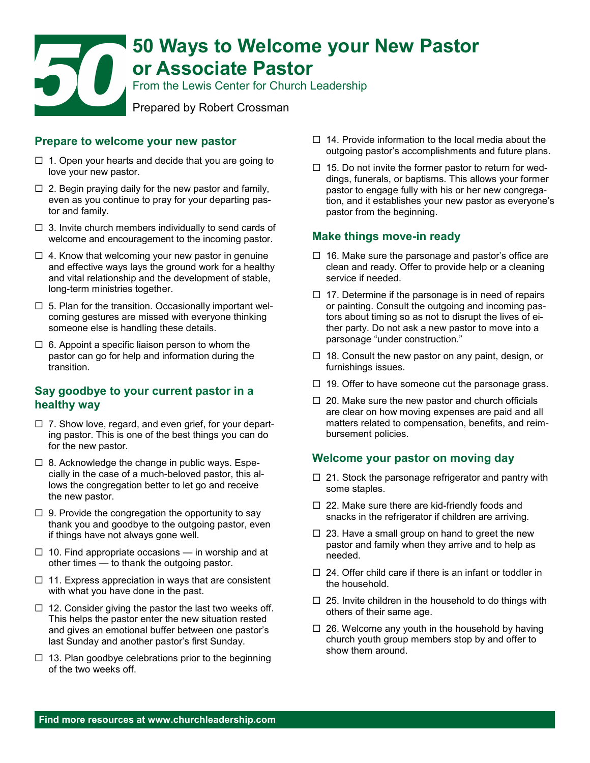# **50 Ways to Welcome your New Pastor or Associate Pastor** From the Lewis Center for Church Leadership Prepared by Robert Crossman

#### **Prepare to welcome your new pastor**

- $\Box$  1. Open your hearts and decide that you are going to love your new pastor.
- $\Box$  2. Begin praying daily for the new pastor and family, even as you continue to pray for your departing pastor and family.
- $\Box$  3. Invite church members individually to send cards of welcome and encouragement to the incoming pastor.
- $\Box$  4. Know that welcoming your new pastor in genuine and effective ways lays the ground work for a healthy and vital relationship and the development of stable, long-term ministries together.
- $\Box$  5. Plan for the transition. Occasionally important welcoming gestures are missed with everyone thinking someone else is handling these details.
- $\Box$  6. Appoint a specific liaison person to whom the pastor can go for help and information during the transition.

### **Say goodbye to your current pastor in a healthy way**

- $\Box$  7. Show love, regard, and even grief, for your departing pastor. This is one of the best things you can do for the new pastor.
- $\Box$  8. Acknowledge the change in public ways. Especially in the case of a much-beloved pastor, this allows the congregation better to let go and receive the new pastor.
- $\Box$  9. Provide the congregation the opportunity to say thank you and goodbye to the outgoing pastor, even if things have not always gone well.
- $\Box$  10. Find appropriate occasions in worship and at other times — to thank the outgoing pastor.
- $\Box$  11. Express appreciation in ways that are consistent with what you have done in the past.
- $\Box$  12. Consider giving the pastor the last two weeks off. This helps the pastor enter the new situation rested and gives an emotional buffer between one pastor's last Sunday and another pastor's first Sunday.
- $\Box$  13. Plan goodbye celebrations prior to the beginning of the two weeks off.
- $\Box$  14. Provide information to the local media about the outgoing pastor's accomplishments and future plans.
- $\Box$  15. Do not invite the former pastor to return for weddings, funerals, or baptisms. This allows your former pastor to engage fully with his or her new congregation, and it establishes your new pastor as everyone's pastor from the beginning.

### **Make things move-in ready**

- $\Box$  16. Make sure the parsonage and pastor's office are clean and ready. Offer to provide help or a cleaning service if needed.
- $\Box$  17. Determine if the parsonage is in need of repairs or painting. Consult the outgoing and incoming pastors about timing so as not to disrupt the lives of either party. Do not ask a new pastor to move into a parsonage "under construction."
- $\Box$  18. Consult the new pastor on any paint, design, or furnishings issues.
- $\Box$  19. Offer to have someone cut the parsonage grass.
- $\Box$  20. Make sure the new pastor and church officials are clear on how moving expenses are paid and all matters related to compensation, benefits, and reimbursement policies.

### **Welcome your pastor on moving day**

- $\Box$  21. Stock the parsonage refrigerator and pantry with some staples.
- $\Box$  22. Make sure there are kid-friendly foods and snacks in the refrigerator if children are arriving.
- $\Box$  23. Have a small group on hand to greet the new pastor and family when they arrive and to help as needed.
- $\Box$  24. Offer child care if there is an infant or toddler in the household.
- $\Box$  25. Invite children in the household to do things with others of their same age.
- $\Box$  26. Welcome any youth in the household by having church youth group members stop by and offer to show them around.